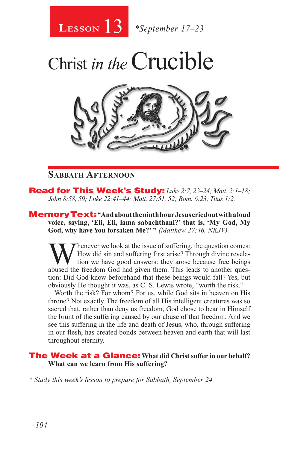

Christ *in the*Crucible



### **Sabbath Afternoon**

Read for This Week's Study: *Luke 2:7, 22–24; Matt. 2:1–18; John 8:58, 59; Luke 22:41–44; Matt. 27:51, 52; Rom. 6:23; Titus 1:2.*

MemoryText: **"And about the ninth hour Jesus cried out with a loud voice, saying, 'Eli, Eli, lama sabachthani?' that is, 'My God, My God, why have You forsaken Me?' "** *(Matthew 27:46, NKJV).* 

Whenever we look at the issue of suffering, the question comes:<br>How did sin and suffering first arise? Through divine revela-<br>tion we have good answers: they arose because free beings<br>abused the freedom God had given them. How did sin and suffering first arise? Through divine revelation we have good answers: they arose because free beings abused the freedom God had given them. This leads to another question: Did God know beforehand that these beings would fall? Yes, but obviously He thought it was, as C. S. Lewis wrote, "worth the risk."

Worth the risk? For whom? For us, while God sits in heaven on His throne? Not exactly. The freedom of all His intelligent creatures was so sacred that, rather than deny us freedom, God chose to bear in Himself the brunt of the suffering caused by our abuse of that freedom. And we see this suffering in the life and death of Jesus, who, through suffering in our flesh, has created bonds between heaven and earth that will last throughout eternity.

#### The Week at a Glance: **What did Christ suffer in our behalf? What can we learn from His suffering?**

*\* Study this week's lesson to prepare for Sabbath, September 24.*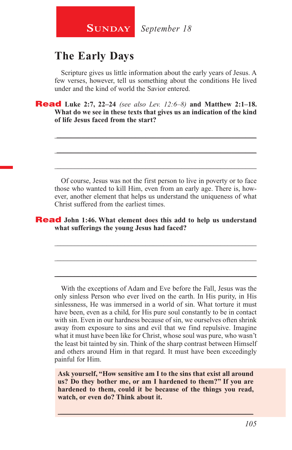

# **The Early Days**

Scripture gives us little information about the early years of Jesus. A few verses, however, tell us something about the conditions He lived under and the kind of world the Savior entered.

\_\_\_\_\_\_\_\_\_\_\_\_\_\_\_\_\_\_\_\_\_\_\_\_\_\_\_\_\_\_\_\_\_\_\_\_\_\_\_\_\_\_\_\_\_\_\_\_\_\_\_\_\_\_\_\_

\_\_\_\_\_\_\_\_\_\_\_\_\_\_\_\_\_\_\_\_\_\_\_\_\_\_\_\_\_\_\_\_\_\_\_\_\_\_\_\_\_\_\_\_\_\_\_\_\_\_\_\_\_\_\_\_

\_\_\_\_\_\_\_\_\_\_\_\_\_\_\_\_\_\_\_\_\_\_\_\_\_\_\_\_\_\_\_\_\_\_\_\_\_\_\_\_\_\_\_\_\_\_\_\_\_\_\_\_\_\_\_\_

Read **Luke 2:7, 22–24** *(see also Lev. 12:6–8)* **and Matthew 2:1–18. What do we see in these texts that gives us an indication of the kind of life Jesus faced from the start?**

Of course, Jesus was not the first person to live in poverty or to face those who wanted to kill Him, even from an early age. There is, however, another element that helps us understand the uniqueness of what Christ suffered from the earliest times.

\_\_\_\_\_\_\_\_\_\_\_\_\_\_\_\_\_\_\_\_\_\_\_\_\_\_\_\_\_\_\_\_\_\_\_\_\_\_\_\_\_\_\_\_\_\_\_\_\_\_\_\_\_\_\_\_

\_\_\_\_\_\_\_\_\_\_\_\_\_\_\_\_\_\_\_\_\_\_\_\_\_\_\_\_\_\_\_\_\_\_\_\_\_\_\_\_\_\_\_\_\_\_\_\_\_\_\_\_\_\_\_\_

\_\_\_\_\_\_\_\_\_\_\_\_\_\_\_\_\_\_\_\_\_\_\_\_\_\_\_\_\_\_\_\_\_\_\_\_\_\_\_\_\_\_\_\_\_\_\_\_\_\_\_\_\_\_\_\_

#### Read **John 1:46. What element does this add to help us understand what sufferings the young Jesus had faced?**

With the exceptions of Adam and Eve before the Fall, Jesus was the only sinless Person who ever lived on the earth. In His purity, in His sinlessness, He was immersed in a world of sin. What torture it must have been, even as a child, for His pure soul constantly to be in contact with sin. Even in our hardness because of sin, we ourselves often shrink away from exposure to sins and evil that we find repulsive. Imagine what it must have been like for Christ, whose soul was pure, who wasn't the least bit tainted by sin. Think of the sharp contrast between Himself and others around Him in that regard. It must have been exceedingly painful for Him.

**Ask yourself, "How sensitive am I to the sins that exist all around us? Do they bother me, or am I hardened to them?" If you are hardened to them, could it be because of the things you read, watch, or even do? Think about it.**

\_\_\_\_\_\_\_\_\_\_\_\_\_\_\_\_\_\_\_\_\_\_\_\_\_\_\_\_\_\_\_\_\_\_\_\_\_\_\_\_\_\_\_\_\_\_\_\_\_\_\_\_\_\_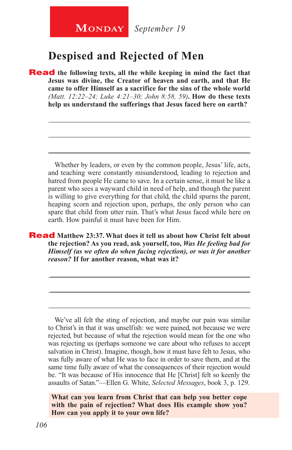# **Despised and Rejected of Men**

**Read** the following texts, all the while keeping in mind the fact that **Jesus was divine, the Creator of heaven and earth, and that He came to offer Himself as a sacrifice for the sins of the whole world**  *(Matt. 12:22–24; Luke 4:21–30; John 8:58, 59)***. How do these texts help us understand the sufferings that Jesus faced here on earth?**

Whether by leaders, or even by the common people, Jesus' life, acts, and teaching were constantly misunderstood, leading to rejection and hatred from people He came to save. In a certain sense, it must be like a parent who sees a wayward child in need of help, and though the parent is willing to give everything for that child, the child spurns the parent, heaping scorn and rejection upon, perhaps, the only person who can spare that child from utter ruin. That's what Jesus faced while here on earth. How painful it must have been for Him.

\_\_\_\_\_\_\_\_\_\_\_\_\_\_\_\_\_\_\_\_\_\_\_\_\_\_\_\_\_\_\_\_\_\_\_\_\_\_\_\_\_\_\_\_\_\_\_\_\_\_\_\_\_\_\_\_

\_\_\_\_\_\_\_\_\_\_\_\_\_\_\_\_\_\_\_\_\_\_\_\_\_\_\_\_\_\_\_\_\_\_\_\_\_\_\_\_\_\_\_\_\_\_\_\_\_\_\_\_\_\_\_\_

\_\_\_\_\_\_\_\_\_\_\_\_\_\_\_\_\_\_\_\_\_\_\_\_\_\_\_\_\_\_\_\_\_\_\_\_\_\_\_\_\_\_\_\_\_\_\_\_\_\_\_\_\_\_\_\_

Read **Matthew 23:37. What does it tell us about how Christ felt about the rejection? As you read, ask yourself, too,** *Was He feeling bad for Himself (as we often do when facing rejection), or was it for another reason?* **If for another reason, what was it?** 

\_\_\_\_\_\_\_\_\_\_\_\_\_\_\_\_\_\_\_\_\_\_\_\_\_\_\_\_\_\_\_\_\_\_\_\_\_\_\_\_\_\_\_\_\_\_\_\_\_\_\_\_\_\_\_\_

\_\_\_\_\_\_\_\_\_\_\_\_\_\_\_\_\_\_\_\_\_\_\_\_\_\_\_\_\_\_\_\_\_\_\_\_\_\_\_\_\_\_\_\_\_\_\_\_\_\_\_\_\_\_\_\_

\_\_\_\_\_\_\_\_\_\_\_\_\_\_\_\_\_\_\_\_\_\_\_\_\_\_\_\_\_\_\_\_\_\_\_\_\_\_\_\_\_\_\_\_\_\_\_\_\_\_\_\_\_\_\_\_

We've all felt the sting of rejection, and maybe our pain was similar to Christ's in that it was unselfish: we were pained, not because we were rejected, but because of what the rejection would mean for the one who was rejecting us (perhaps someone we care about who refuses to accept salvation in Christ). Imagine, though, how it must have felt to Jesus, who was fully aware of what He was to face in order to save them, and at the same time fully aware of what the consequences of their rejection would be. "It was because of His innocence that He [Christ] felt so keenly the assaults of Satan."—Ellen G. White, *Selected Messages*, book 3, p. 129.

**What can you learn from Christ that can help you better cope with the pain of rejection? What does His example show you? How can you apply it to your own life?**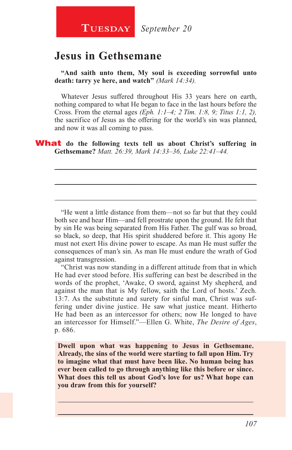## **Jesus in Gethsemane**

**"And saith unto them, My soul is exceeding sorrowful unto death: tarry ye here, and watch"** *(Mark 14:34).*

Whatever Jesus suffered throughout His 33 years here on earth, nothing compared to what He began to face in the last hours before the Cross. From the eternal ages *(Eph. 1:1–4; 2 Tim. 1:8, 9; Titus 1:1, 2),*  the sacrifice of Jesus as the offering for the world's sin was planned, and now it was all coming to pass.

\_\_\_\_\_\_\_\_\_\_\_\_\_\_\_\_\_\_\_\_\_\_\_\_\_\_\_\_\_\_\_\_\_\_\_\_\_\_\_\_\_\_\_\_\_\_\_\_\_\_\_\_\_\_\_\_

\_\_\_\_\_\_\_\_\_\_\_\_\_\_\_\_\_\_\_\_\_\_\_\_\_\_\_\_\_\_\_\_\_\_\_\_\_\_\_\_\_\_\_\_\_\_\_\_\_\_\_\_\_\_\_\_

\_\_\_\_\_\_\_\_\_\_\_\_\_\_\_\_\_\_\_\_\_\_\_\_\_\_\_\_\_\_\_\_\_\_\_\_\_\_\_\_\_\_\_\_\_\_\_\_\_\_\_\_\_\_\_\_

What **do the following texts tell us about Christ's suffering in Gethsemane?** *Matt. 26:39, Mark 14:33–36, Luke 22:41–44.*

"He went a little distance from them—not so far but that they could both see and hear Him—and fell prostrate upon the ground. He felt that by sin He was being separated from His Father. The gulf was so broad, so black, so deep, that His spirit shuddered before it. This agony He must not exert His divine power to escape. As man He must suffer the consequences of man's sin. As man He must endure the wrath of God against transgression.

"Christ was now standing in a different attitude from that in which He had ever stood before. His suffering can best be described in the words of the prophet, 'Awake, O sword, against My shepherd, and against the man that is My fellow, saith the Lord of hosts.' Zech. 13:7. As the substitute and surety for sinful man, Christ was suffering under divine justice. He saw what justice meant. Hitherto He had been as an intercessor for others; now He longed to have an intercessor for Himself."—Ellen G. White, *The Desire of Ages*, p. 686.

**Dwell upon what was happening to Jesus in Gethsemane. Already, the sins of the world were starting to fall upon Him. Try to imagine what that must have been like. No human being has ever been called to go through anything like this before or since. What does this tell us about God's love for us? What hope can you draw from this for yourself?**

\_\_\_\_\_\_\_\_\_\_\_\_\_\_\_\_\_\_\_\_\_\_\_\_\_\_\_\_\_\_\_\_\_\_\_\_\_\_\_\_\_\_\_\_\_\_\_\_\_\_\_\_\_\_ \_\_\_\_\_\_\_\_\_\_\_\_\_\_\_\_\_\_\_\_\_\_\_\_\_\_\_\_\_\_\_\_\_\_\_\_\_\_\_\_\_\_\_\_\_\_\_\_\_\_\_\_\_\_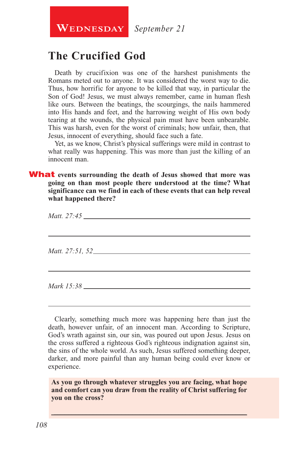**WEDNESDAY** September 21

# **The Crucified God**

Death by crucifixion was one of the harshest punishments the Romans meted out to anyone. It was considered the worst way to die. Thus, how horrific for anyone to be killed that way, in particular the Son of God! Jesus, we must always remember, came in human flesh like ours. Between the beatings, the scourgings, the nails hammered into His hands and feet, and the harrowing weight of His own body tearing at the wounds, the physical pain must have been unbearable. This was harsh, even for the worst of criminals; how unfair, then, that Jesus, innocent of everything, should face such a fate.

Yet, as we know, Christ's physical sufferings were mild in contrast to what really was happening. This was more than just the killing of an innocent man.

What **events surrounding the death of Jesus showed that more was going on than most people there understood at the time? What significance can we find in each of these events that can help reveal what happened there?**

| <i>Matt.</i> 27:45 |  |  |
|--------------------|--|--|
|                    |  |  |
| Mark 15:38         |  |  |

Clearly, something much more was happening here than just the death, however unfair, of an innocent man. According to Scripture, God's wrath against sin, our sin, was poured out upon Jesus. Jesus on the cross suffered a righteous God's righteous indignation against sin, the sins of the whole world. As such, Jesus suffered something deeper, darker, and more painful than any human being could ever know or experience.

**As you go through whatever struggles you are facing, what hope and comfort can you draw from the reality of Christ suffering for you on the cross?**

\_\_\_\_\_\_\_\_\_\_\_\_\_\_\_\_\_\_\_\_\_\_\_\_\_\_\_\_\_\_\_\_\_\_\_\_\_\_\_\_\_\_\_\_\_\_\_\_\_\_\_\_\_\_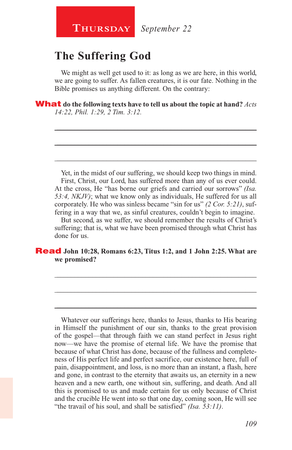# **The Suffering God**

We might as well get used to it: as long as we are here, in this world, we are going to suffer. As fallen creatures, it is our fate. Nothing in the Bible promises us anything different. On the contrary:

\_\_\_\_\_\_\_\_\_\_\_\_\_\_\_\_\_\_\_\_\_\_\_\_\_\_\_\_\_\_\_\_\_\_\_\_\_\_\_\_\_\_\_\_\_\_\_\_\_\_\_\_\_\_\_\_

\_\_\_\_\_\_\_\_\_\_\_\_\_\_\_\_\_\_\_\_\_\_\_\_\_\_\_\_\_\_\_\_\_\_\_\_\_\_\_\_\_\_\_\_\_\_\_\_\_\_\_\_\_\_\_\_

\_\_\_\_\_\_\_\_\_\_\_\_\_\_\_\_\_\_\_\_\_\_\_\_\_\_\_\_\_\_\_\_\_\_\_\_\_\_\_\_\_\_\_\_\_\_\_\_\_\_\_\_\_\_\_\_

What **do the following texts have to tell us about the topic at hand?** *Acts 14:22, Phil. 1:29, 2 Tim. 3:12.*

Yet, in the midst of our suffering, we should keep two things in mind. First, Christ, our Lord, has suffered more than any of us ever could. At the cross, He "has borne our griefs and carried our sorrows" *(Isa. 53:4, NKJV)*; what we know only as individuals, He suffered for us all corporately. He who was sinless became "sin for us" *(2 Cor. 5:21)*, suffering in a way that we, as sinful creatures, couldn't begin to imagine.

But second, as we suffer, we should remember the results of Christ's suffering; that is, what we have been promised through what Christ has done for us.

\_\_\_\_\_\_\_\_\_\_\_\_\_\_\_\_\_\_\_\_\_\_\_\_\_\_\_\_\_\_\_\_\_\_\_\_\_\_\_\_\_\_\_\_\_\_\_\_\_\_\_\_\_\_\_\_

\_\_\_\_\_\_\_\_\_\_\_\_\_\_\_\_\_\_\_\_\_\_\_\_\_\_\_\_\_\_\_\_\_\_\_\_\_\_\_\_\_\_\_\_\_\_\_\_\_\_\_\_\_\_\_\_

\_\_\_\_\_\_\_\_\_\_\_\_\_\_\_\_\_\_\_\_\_\_\_\_\_\_\_\_\_\_\_\_\_\_\_\_\_\_\_\_\_\_\_\_\_\_\_\_\_\_\_\_\_\_\_\_

#### Read **John 10:28, Romans 6:23, Titus 1:2, and 1 John 2:25. What are we promised?**

Whatever our sufferings here, thanks to Jesus, thanks to His bearing in Himself the punishment of our sin, thanks to the great provision of the gospel—that through faith we can stand perfect in Jesus right now—we have the promise of eternal life. We have the promise that because of what Christ has done, because of the fullness and completeness of His perfect life and perfect sacrifice, our existence here, full of pain, disappointment, and loss, is no more than an instant, a flash, here and gone, in contrast to the eternity that awaits us, an eternity in a new heaven and a new earth, one without sin, suffering, and death. And all this is promised to us and made certain for us only because of Christ and the crucible He went into so that one day, coming soon, He will see "the travail of his soul, and shall be satisfied" *(Isa. 53:11)*.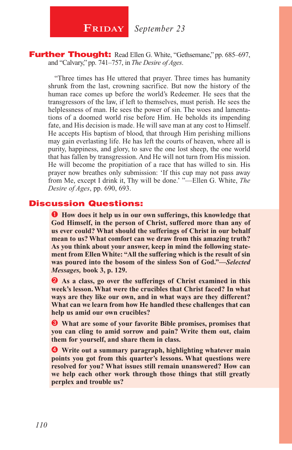**FRIDAY** September 23

#### Further Thought: Read Ellen G. White, "Gethsemane," pp. 685-697, and "Calvary," pp. 741–757, in *The Desire of Ages*.

"Three times has He uttered that prayer. Three times has humanity shrunk from the last, crowning sacrifice. But now the history of the human race comes up before the world's Redeemer. He sees that the transgressors of the law, if left to themselves, must perish. He sees the helplessness of man. He sees the power of sin. The woes and lamentations of a doomed world rise before Him. He beholds its impending fate, and His decision is made. He will save man at any cost to Himself. He accepts His baptism of blood, that through Him perishing millions may gain everlasting life. He has left the courts of heaven, where all is purity, happiness, and glory, to save the one lost sheep, the one world that has fallen by transgression. And He will not turn from His mission. He will become the propitiation of a race that has willed to sin. His prayer now breathes only submission: 'If this cup may not pass away from Me, except I drink it, Thy will be done.' "—Ellen G. White, *The Desire of Ages*, pp. 690, 693.

#### Discussion Questions:

**How does it help us in our own sufferings, this knowledge that God Himself, in the person of Christ, suffered more than any of us ever could? What should the sufferings of Christ in our behalf mean to us? What comfort can we draw from this amazing truth? As you think about your answer, keep in mind the following statement from Ellen White: "All the suffering which is the result of sin was poured into the bosom of the sinless Son of God."—***Selected Messages,* **book 3, p. 129.**

**As a class, go over the sufferings of Christ examined in this week's lesson. What were the crucibles that Christ faced? In what ways are they like our own, and in what ways are they different? What can we learn from how He handled these challenges that can help us amid our own crucibles?**

 **What are some of your favorite Bible promises, promises that you can cling to amid sorrow and pain? Write them out, claim them for yourself, and share them in class.**

 **Write out a summary paragraph, highlighting whatever main points you got from this quarter's lessons. What questions were resolved for you? What issues still remain unanswered? How can we help each other work through those things that still greatly perplex and trouble us?**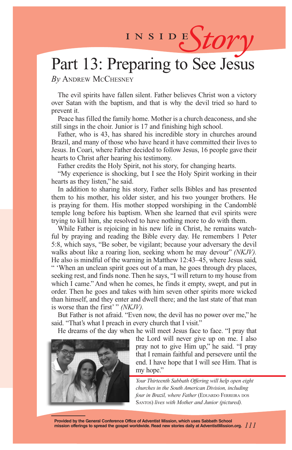# INSIDES*tory*

# Part 13: Preparing to See Jesus

*By* Andrew McChesney

The evil spirits have fallen silent. Father believes Christ won a victory over Satan with the baptism, and that is why the devil tried so hard to prevent it.

Peace has filled the family home. Mother is a church deaconess, and she still sings in the choir. Junior is 17 and finishing high school.

Father, who is 43, has shared his incredible story in churches around Brazil, and many of those who have heard it have committed their lives to Jesus. In Coari, where Father decided to follow Jesus, 16 people gave their hearts to Christ after hearing his testimony.

Father credits the Holy Spirit, not his story, for changing hearts.

"My experience is shocking, but I see the Holy Spirit working in their hearts as they listen," he said.

In addition to sharing his story, Father sells Bibles and has presented them to his mother, his older sister, and his two younger brothers. He is praying for them. His mother stopped worshiping in the Candomblé temple long before his baptism. When she learned that evil spirits were trying to kill him, she resolved to have nothing more to do with them.

While Father is rejoicing in his new life in Christ, he remains watchful by praying and reading the Bible every day. He remembers 1 Peter 5:8, which says, "Be sober, be vigilant; because your adversary the devil walks about like a roaring lion, seeking whom he may devour" *(NKJV).* He also is mindful of the warning in Matthew 12:43–45, where Jesus said, " 'When an unclean spirit goes out of a man, he goes through dry places, seeking rest, and finds none. Then he says, "I will return to my house from which I came." And when he comes, he finds it empty, swept, and put in order. Then he goes and takes with him seven other spirits more wicked than himself, and they enter and dwell there; and the last state of that man is worse than the first' " *(NKJV).*

But Father is not afraid. "Even now, the devil has no power over me," he said. "That's what I preach in every church that I visit."

He dreams of the day when he will meet Jesus face to face. "I pray that



the Lord will never give up on me. I also pray not to give Him up," he said. "I pray that I remain faithful and persevere until the end. I have hope that I will see Him. That is my hope."

*Your Thirteenth Sabbath Offering will help open eight churches in the South American Division, including four in Brazil, where Father* (EDUARDO FERREIRA DOS Santos) *lives with Mother and Junior (pictured).*

**Provided by the General Conference Office of Adventist Mission, which uses Sabbath School mission offerings to spread the gospel worldwide. Read new stories daily at AdventistMission.org.** *111*